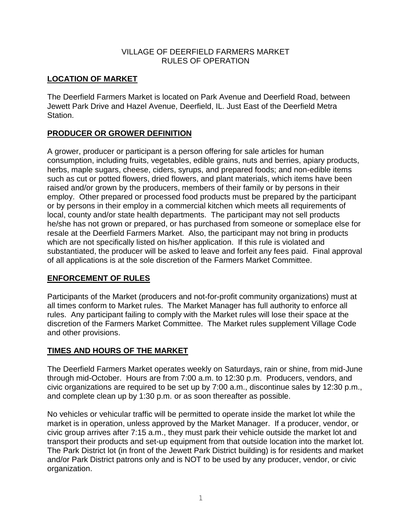#### VILLAGE OF DEERFIELD FARMERS MARKET RULES OF OPERATION

## **LOCATION OF MARKET**

The Deerfield Farmers Market is located on Park Avenue and Deerfield Road, between Jewett Park Drive and Hazel Avenue, Deerfield, IL. Just East of the Deerfield Metra Station.

### **PRODUCER OR GROWER DEFINITION**

 local, county and/or state health departments. The participant may not sell products substantiated, the producer will be asked to leave and forfeit any fees paid. Final approval A grower, producer or participant is a person offering for sale articles for human consumption, including fruits, vegetables, edible grains, nuts and berries, apiary products, herbs, maple sugars, cheese, ciders, syrups, and prepared foods; and non-edible items such as cut or potted flowers, dried flowers, and plant materials, which items have been raised and/or grown by the producers, members of their family or by persons in their employ. Other prepared or processed food products must be prepared by the participant or by persons in their employ in a commercial kitchen which meets all requirements of he/she has not grown or prepared, or has purchased from someone or someplace else for resale at the Deerfield Farmers Market. Also, the participant may not bring in products which are not specifically listed on his/her application. If this rule is violated and of all applications is at the sole discretion of the Farmers Market Committee.

### **ENFORCEMENT OF RULES**

Participants of the Market (producers and not-for-profit community organizations) must at all times conform to Market rules. The Market Manager has full authority to enforce all rules. Any participant failing to comply with the Market rules will lose their space at the discretion of the Farmers Market Committee. The Market rules supplement Village Code and other provisions.

### **TIMES AND HOURS OF THE MARKET**

The Deerfield Farmers Market operates weekly on Saturdays, rain or shine, from mid-June through mid-October. Hours are from 7:00 a.m. to 12:30 p.m. Producers, vendors, and civic organizations are required to be set up by 7:00 a.m., discontinue sales by 12:30 p.m., and complete clean up by 1:30 p.m. or as soon thereafter as possible.

No vehicles or vehicular traffic will be permitted to operate inside the market lot while the market is in operation, unless approved by the Market Manager. If a producer, vendor, or civic group arrives after 7:15 a.m., they must park their vehicle outside the market lot and transport their products and set-up equipment from that outside location into the market lot. The Park District lot (in front of the Jewett Park District building) is for residents and market and/or Park District patrons only and is NOT to be used by any producer, vendor, or civic organization.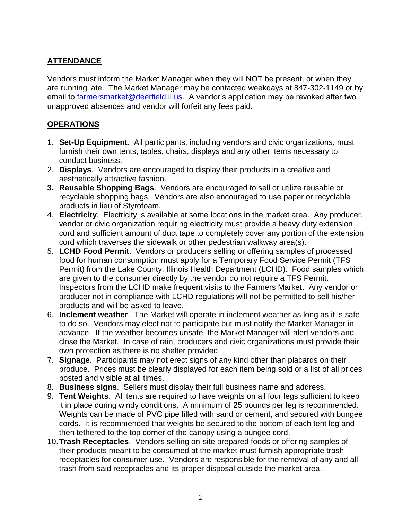# **ATTENDANCE**

Vendors must inform the Market Manager when they will NOT be present, or when they are running late. The Market Manager may be contacted weekdays at 847-302-1149 or by email to [farmersmarket@deerfield.il.us.](mailto:farmersmarket@deerfield.il.us) A vendor's application may be revoked after two unapproved absences and vendor will forfeit any fees paid.

## **OPERATIONS**

- 1. **Set-Up Equipment**. All participants, including vendors and civic organizations, must furnish their own tents, tables, chairs, displays and any other items necessary to conduct business.
- 2. **Displays**. Vendors are encouraged to display their products in a creative and aesthetically attractive fashion.
- **3. Reusable Shopping Bags**. Vendors are encouraged to sell or utilize reusable or recyclable shopping bags. Vendors are also encouraged to use paper or recyclable products in lieu of Styrofoam.
- 4. **Electricity**. Electricity is available at some locations in the market area. Any producer, vendor or civic organization requiring electricity must provide a heavy duty extension cord and sufficient amount of duct tape to completely cover any portion of the extension cord which traverses the sidewalk or other pedestrian walkway area(s).
- products and will be asked to leave. 5. **LCHD Food Permit**. Vendors or producers selling or offering samples of processed food for human consumption must apply for a Temporary Food Service Permit (TFS Permit) from the Lake County, Illinois Health Department (LCHD). Food samples which are given to the consumer directly by the vendor do not require a TFS Permit. Inspectors from the LCHD make frequent visits to the Farmers Market. Any vendor or producer not in compliance with LCHD regulations will not be permitted to sell his/her
- 6. **Inclement weather**. The Market will operate in inclement weather as long as it is safe to do so. Vendors may elect not to participate but must notify the Market Manager in advance. If the weather becomes unsafe, the Market Manager will alert vendors and close the Market. In case of rain, producers and civic organizations must provide their own protection as there is no shelter provided.
- 7. **Signage**. Participants may not erect signs of any kind other than placards on their produce. Prices must be clearly displayed for each item being sold or a list of all prices posted and visible at all times.
- 8. **Business signs**. Sellers must display their full business name and address.
- 9. **Tent Weights**. All tents are required to have weights on all four legs sufficient to keep it in place during windy conditions. A minimum of 25 pounds per leg is recommended. Weights can be made of PVC pipe filled with sand or cement, and secured with bungee cords. It is recommended that weights be secured to the bottom of each tent leg and then tethered to the top corner of the canopy using a bungee cord.
- 10.**Trash Receptacles**. Vendors selling on-site prepared foods or offering samples of their products meant to be consumed at the market must furnish appropriate trash receptacles for consumer use. Vendors are responsible for the removal of any and all trash from said receptacles and its proper disposal outside the market area.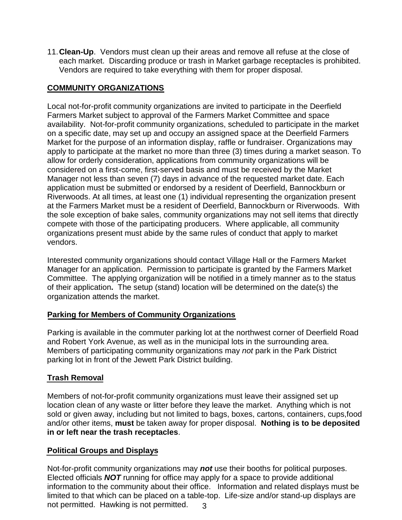11.**Clean-Up**. Vendors must clean up their areas and remove all refuse at the close of each market. Discarding produce or trash in Market garbage receptacles is prohibited. Vendors are required to take everything with them for proper disposal.

### **COMMUNITY ORGANIZATIONS**

Local not-for-profit community organizations are invited to participate in the Deerfield Farmers Market subject to approval of the Farmers Market Committee and space availability. Not-for-profit community organizations, scheduled to participate in the market on a specific date, may set up and occupy an assigned space at the Deerfield Farmers Market for the purpose of an information display, raffle or fundraiser. Organizations may apply to participate at the market no more than three (3) times during a market season. To allow for orderly consideration, applications from community organizations will be considered on a first-come, first-served basis and must be received by the Market Manager not less than seven (7) days in advance of the requested market date. Each application must be submitted or endorsed by a resident of Deerfield, Bannockburn or Riverwoods. At all times, at least one (1) individual representing the organization present at the Farmers Market must be a resident of Deerfield, Bannockburn or Riverwoods. With the sole exception of bake sales, community organizations may not sell items that directly compete with those of the participating producers. Where applicable, all community organizations present must abide by the same rules of conduct that apply to market vendors.

 Committee. The applying organization will be notified in a timely manner as to the status Interested community organizations should contact Village Hall or the Farmers Market Manager for an application. Permission to participate is granted by the Farmers Market of their application**.** The setup (stand) location will be determined on the date(s) the organization attends the market.

### **Parking for Members of Community Organizations**

Parking is available in the commuter parking lot at the northwest corner of Deerfield Road and Robert York Avenue, as well as in the municipal lots in the surrounding area. Members of participating community organizations may *not* park in the Park District parking lot in front of the Jewett Park District building.

### **Trash Removal**

Members of not-for-profit community organizations must leave their assigned set up location clean of any waste or litter before they leave the market. Anything which is not sold or given away, including but not limited to bags, boxes, cartons, containers, cups,food and/or other items, **must** be taken away for proper disposal. **Nothing is to be deposited in or left near the trash receptacles**.

#### **Political Groups and Displays**

Not-for-profit community organizations may *not* use their booths for political purposes. Elected officials *NOT* running for office may apply for a space to provide additional information to the community about their office. Information and related displays must be limited to that which can be placed on a table-top. Life-size and/or stand-up displays are not permitted. Hawking is not permitted. 3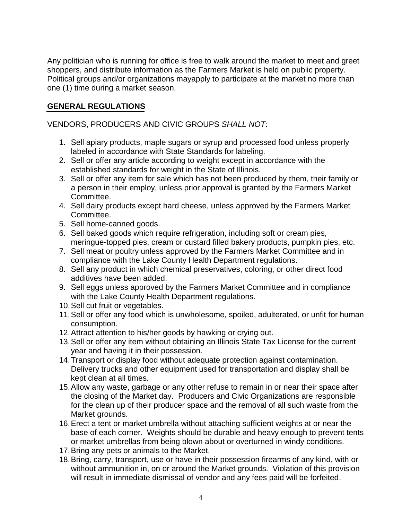Any politician who is running for office is free to walk around the market to meet and greet shoppers, and distribute information as the Farmers Market is held on public property. Political groups and/or organizations mayapply to participate at the market no more than one (1) time during a market season.

## **GENERAL REGULATIONS**

#### VENDORS, PRODUCERS AND CIVIC GROUPS *SHALL NOT*:

- 1. Sell apiary products, maple sugars or syrup and processed food unless properly labeled in accordance with State Standards for labeling.
- 2. Sell or offer any article according to weight except in accordance with the established standards for weight in the State of Illinois.
- 3. Sell or offer any item for sale which has not been produced by them, their family or a person in their employ, unless prior approval is granted by the Farmers Market Committee.
- 4. Sell dairy products except hard cheese, unless approved by the Farmers Market Committee.
- 5. Sell home-canned goods.
- 6. Sell baked goods which require refrigeration, including soft or cream pies, meringue-topped pies, cream or custard filled bakery products, pumpkin pies, etc.
- 7. Sell meat or poultry unless approved by the Farmers Market Committee and in compliance with the Lake County Health Department regulations.
- 8. Sell any product in which chemical preservatives, coloring, or other direct food additives have been added.
- 9. Sell eggs unless approved by the Farmers Market Committee and in compliance with the Lake County Health Department regulations.
- 10.Sell cut fruit or vegetables.
- 11.Sell or offer any food which is unwholesome, spoiled, adulterated, or unfit for human consumption.
- 12.Attract attention to his/her goods by hawking or crying out.
- 13.Sell or offer any item without obtaining an Illinois State Tax License for the current year and having it in their possession.
- 14.Transport or display food without adequate protection against contamination. Delivery trucks and other equipment used for transportation and display shall be kept clean at all times.
- 15.Allow any waste, garbage or any other refuse to remain in or near their space after the closing of the Market day. Producers and Civic Organizations are responsible for the clean up of their producer space and the removal of all such waste from the Market grounds.
- 16.Erect a tent or market umbrella without attaching sufficient weights at or near the base of each corner. Weights should be durable and heavy enough to prevent tents or market umbrellas from being blown about or overturned in windy conditions.
- 17.Bring any pets or animals to the Market.
- 18.Bring, carry, transport, use or have in their possession firearms of any kind, with or without ammunition in, on or around the Market grounds. Violation of this provision will result in immediate dismissal of vendor and any fees paid will be forfeited.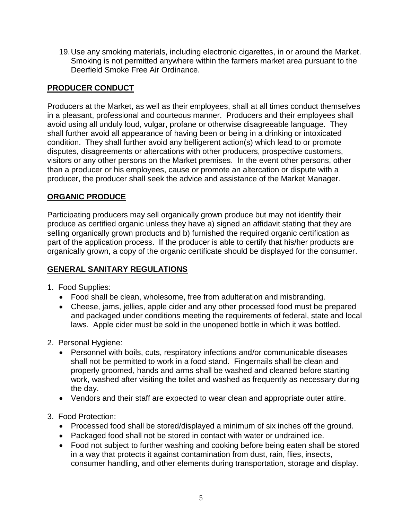19.Use any smoking materials, including electronic cigarettes, in or around the Market. Smoking is not permitted anywhere within the farmers market area pursuant to the Deerfield Smoke Free Air Ordinance.

### **PRODUCER CONDUCT**

Producers at the Market, as well as their employees, shall at all times conduct themselves in a pleasant, professional and courteous manner. Producers and their employees shall avoid using all unduly loud, vulgar, profane or otherwise disagreeable language. They shall further avoid all appearance of having been or being in a drinking or intoxicated condition. They shall further avoid any belligerent action(s) which lead to or promote disputes, disagreements or altercations with other producers, prospective customers, visitors or any other persons on the Market premises. In the event other persons, other than a producer or his employees, cause or promote an altercation or dispute with a producer, the producer shall seek the advice and assistance of the Market Manager.

### **ORGANIC PRODUCE**

Participating producers may sell organically grown produce but may not identify their produce as certified organic unless they have a) signed an affidavit stating that they are selling organically grown products and b) furnished the required organic certification as part of the application process. If the producer is able to certify that his/her products are organically grown, a copy of the organic certificate should be displayed for the consumer.

## **GENERAL SANITARY REGULATIONS**

- 1. Food Supplies:
	- Food shall be clean, wholesome, free from adulteration and misbranding.
	- Cheese, jams, jellies, apple cider and any other processed food must be prepared and packaged under conditions meeting the requirements of federal, state and local laws. Apple cider must be sold in the unopened bottle in which it was bottled.
- 2. Personal Hygiene:
	- Personnel with boils, cuts, respiratory infections and/or communicable diseases shall not be permitted to work in a food stand. Fingernails shall be clean and properly groomed, hands and arms shall be washed and cleaned before starting work, washed after visiting the toilet and washed as frequently as necessary during the day.
	- Vendors and their staff are expected to wear clean and appropriate outer attire.
- 3. Food Protection:
	- Processed food shall be stored/displayed a minimum of six inches off the ground.
	- Packaged food shall not be stored in contact with water or undrained ice.
	- Food not subject to further washing and cooking before being eaten shall be stored in a way that protects it against contamination from dust, rain, flies, insects, consumer handling, and other elements during transportation, storage and display.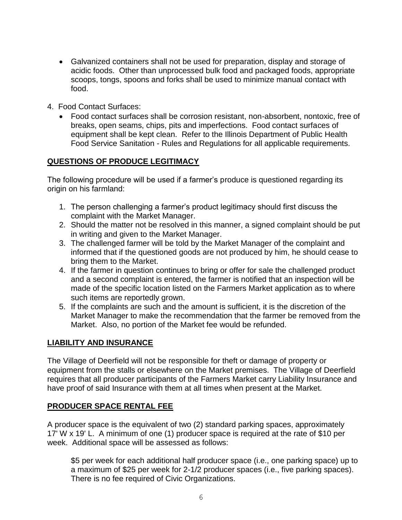- Galvanized containers shall not be used for preparation, display and storage of acidic foods. Other than unprocessed bulk food and packaged foods, appropriate scoops, tongs, spoons and forks shall be used to minimize manual contact with food.
- 4. Food Contact Surfaces:
	- Food contact surfaces shall be corrosion resistant, non-absorbent, nontoxic, free of breaks, open seams, chips, pits and imperfections. Food contact surfaces of equipment shall be kept clean. Refer to the Illinois Department of Public Health Food Service Sanitation - Rules and Regulations for all applicable requirements.

### **QUESTIONS OF PRODUCE LEGITIMACY**

The following procedure will be used if a farmer's produce is questioned regarding its origin on his farmland:

- 1. The person challenging a farmer's product legitimacy should first discuss the complaint with the Market Manager.
- 2. Should the matter not be resolved in this manner, a signed complaint should be put in writing and given to the Market Manager.
- 3. The challenged farmer will be told by the Market Manager of the complaint and informed that if the questioned goods are not produced by him, he should cease to bring them to the Market.
- 4. If the farmer in question continues to bring or offer for sale the challenged product and a second complaint is entered, the farmer is notified that an inspection will be made of the specific location listed on the Farmers Market application as to where such items are reportedly grown.
- 5. If the complaints are such and the amount is sufficient, it is the discretion of the Market Manager to make the recommendation that the farmer be removed from the Market. Also, no portion of the Market fee would be refunded.

### **LIABILITY AND INSURANCE**

 have proof of said Insurance with them at all times when present at the Market. The Village of Deerfield will not be responsible for theft or damage of property or equipment from the stalls or elsewhere on the Market premises. The Village of Deerfield requires that all producer participants of the Farmers Market carry Liability Insurance and

### **PRODUCER SPACE RENTAL FEE**

A producer space is the equivalent of two (2) standard parking spaces, approximately 17' W x 19' L. A minimum of one (1) producer space is required at the rate of \$10 per week. Additional space will be assessed as follows:

 a maximum of \$25 per week for 2-1/2 producer spaces (i.e., five parking spaces). \$5 per week for each additional half producer space (i.e., one parking space) up to There is no fee required of Civic Organizations.